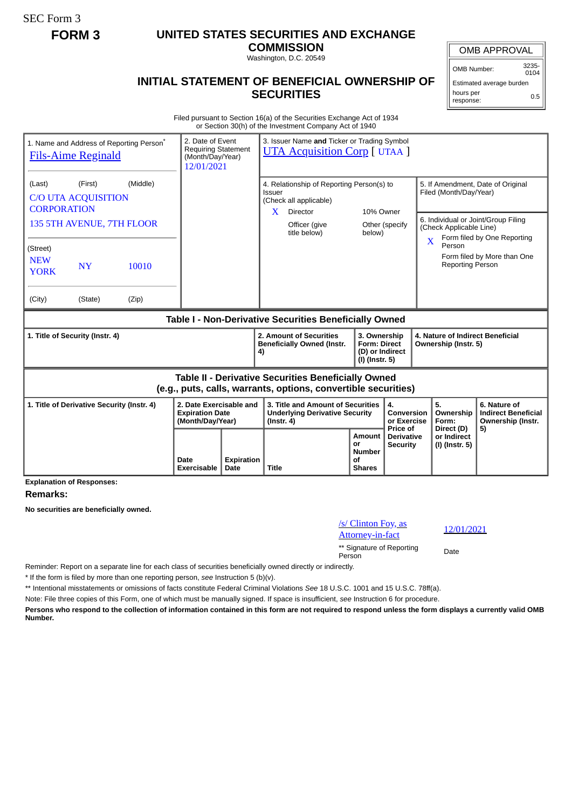SEC Form 3

## **FORM 3 UNITED STATES SECURITIES AND EXCHANGE**

**COMMISSION** Washington, D.C. 20549

## **INITIAL STATEMENT OF BENEFICIAL OWNERSHIP OF SECURITIES**

OMB APPROVAL

Estimated average burden hours per response: 0.5

Filed pursuant to Section 16(a) of the Securities Exchange Act of 1934 or Section 30(h) of the Investment Company Act of 1940

| 1. Name and Address of Reporting Person <sup>®</sup><br><b>Fils-Aime Reginald</b>                                            | 2. Date of Event<br><b>Requiring Statement</b><br>(Month/Day/Year)<br>12/01/2021 |                           | 3. Issuer Name and Ticker or Trading Symbol<br><b>UTA Acquisition Corp</b> [ UTAA ]                                                    |                                                      |                                                                                                                                      |                                                                              |                                                                                                         |  |
|------------------------------------------------------------------------------------------------------------------------------|----------------------------------------------------------------------------------|---------------------------|----------------------------------------------------------------------------------------------------------------------------------------|------------------------------------------------------|--------------------------------------------------------------------------------------------------------------------------------------|------------------------------------------------------------------------------|---------------------------------------------------------------------------------------------------------|--|
| (Middle)<br>(Last)<br>(First)<br><b>C/O UTA ACQUISITION</b><br><b>CORPORATION</b><br>135 5TH AVENUE, 7TH FLOOR               |                                                                                  |                           | 4. Relationship of Reporting Person(s) to<br><b>Issuer</b><br>(Check all applicable)<br>X<br>Director<br>Officer (give<br>title below) | 10% Owner<br>below)                                  | Other (specify                                                                                                                       | Filed (Month/Day/Year)<br>(Check Applicable Line)<br>$\overline{\mathbf{X}}$ | 5. If Amendment, Date of Original<br>6. Individual or Joint/Group Filing<br>Form filed by One Reporting |  |
| (Street)<br><b>NEW</b><br><b>NY</b><br>10010<br><b>YORK</b>                                                                  |                                                                                  |                           |                                                                                                                                        |                                                      |                                                                                                                                      | Person<br><b>Reporting Person</b>                                            | Form filed by More than One                                                                             |  |
| (City)<br>(State)<br>(Zip)                                                                                                   |                                                                                  |                           |                                                                                                                                        |                                                      |                                                                                                                                      |                                                                              |                                                                                                         |  |
| Table I - Non-Derivative Securities Beneficially Owned                                                                       |                                                                                  |                           |                                                                                                                                        |                                                      |                                                                                                                                      |                                                                              |                                                                                                         |  |
| 1. Title of Security (Instr. 4)                                                                                              |                                                                                  |                           | 2. Amount of Securities<br><b>Beneficially Owned (Instr.</b><br>4)                                                                     |                                                      | 3. Ownership<br>4. Nature of Indirect Beneficial<br><b>Form: Direct</b><br>Ownership (Instr. 5)<br>(D) or Indirect<br>(I) (Instr. 5) |                                                                              |                                                                                                         |  |
| <b>Table II - Derivative Securities Beneficially Owned</b><br>(e.g., puts, calls, warrants, options, convertible securities) |                                                                                  |                           |                                                                                                                                        |                                                      |                                                                                                                                      |                                                                              |                                                                                                         |  |
| 1. Title of Derivative Security (Instr. 4)<br>2. Date Exercisable and<br><b>Expiration Date</b><br>(Month/Day/Year)          |                                                                                  |                           | 3. Title and Amount of Securities<br><b>Underlying Derivative Security</b><br>$($ lnstr. 4 $)$                                         |                                                      | 4.<br>Conversion<br>or Exercise<br>Price of                                                                                          | 5.<br>Ownership<br>Form:<br>Direct (D)                                       | 6. Nature of<br><b>Indirect Beneficial</b><br>Ownership (Instr.                                         |  |
|                                                                                                                              | Date<br>Exercisable                                                              | <b>Expiration</b><br>Date | <b>Title</b>                                                                                                                           | Amount<br>or<br><b>Number</b><br>οf<br><b>Shares</b> | <b>Derivative</b><br><b>Security</b>                                                                                                 | or Indirect<br>(I) (Instr. 5)                                                | 5)                                                                                                      |  |

**Explanation of Responses:**

## **Remarks:**

**No securities are beneficially owned.**

| /s/ Clinton Foy, as<br>Attorney-in-fact | 12/0 |
|-----------------------------------------|------|
| ** Signature of Reporting<br>Person     | Date |

Attorney-in-fact 12/01/2021

Reminder: Report on a separate line for each class of securities beneficially owned directly or indirectly.

\* If the form is filed by more than one reporting person, *see* Instruction 5 (b)(v).

\*\* Intentional misstatements or omissions of facts constitute Federal Criminal Violations *See* 18 U.S.C. 1001 and 15 U.S.C. 78ff(a).

Note: File three copies of this Form, one of which must be manually signed. If space is insufficient, *see* Instruction 6 for procedure.

**Persons who respond to the collection of information contained in this form are not required to respond unless the form displays a currently valid OMB Number.**

OMB Number: 3235-  $0104$